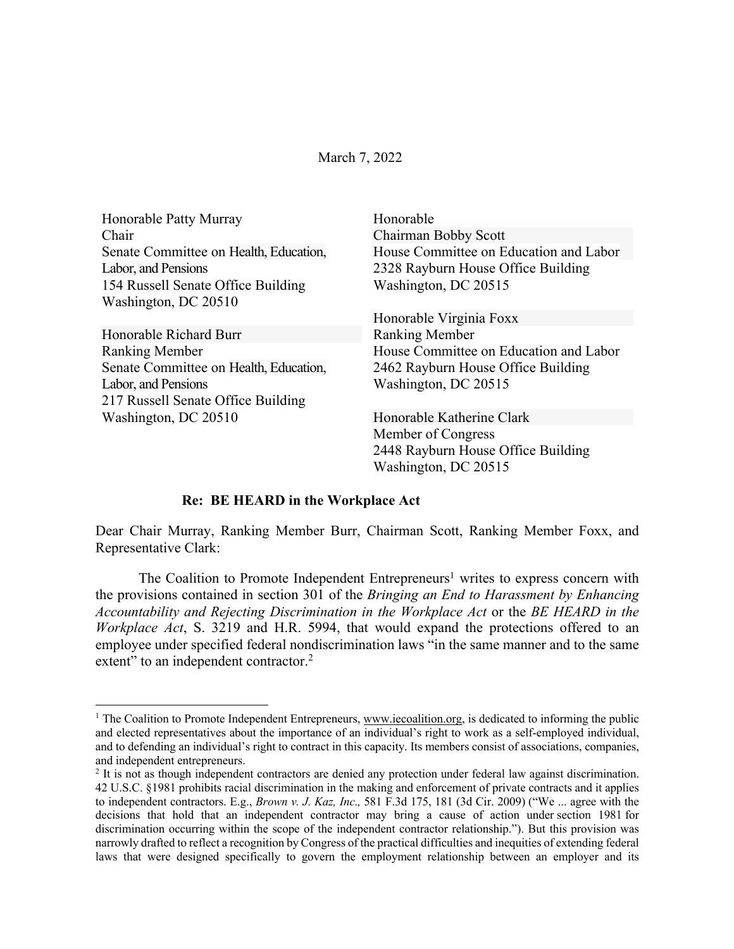## March 7, 2022

| Honorable Patty Murray                 | Honorable                              |
|----------------------------------------|----------------------------------------|
| Chair                                  | Chairman Bobby Scott                   |
| Senate Committee on Health, Education, | House Committee on Education and Labor |
| Labor, and Pensions                    | 2328 Rayburn House Office Building     |
| 154 Russell Senate Office Building     | Washington, DC 20515                   |
| Washington, DC 20510                   |                                        |
|                                        | Honorable Virginia Foxx                |
| Honorable Richard Burr                 | <b>Ranking Member</b>                  |
| <b>Ranking Member</b>                  | House Committee on Education and Labor |
| Senate Committee on Health, Education, | 2462 Rayburn House Office Building     |
| Labor, and Pensions                    | Washington, DC 20515                   |
| 217 Russell Senate Office Building     |                                        |
| Washington, DC 20510                   | Honorable Katherine Clark              |
|                                        | Member of Congress                     |
|                                        | 2448 Rayburn House Office Building     |
|                                        | Washington, DC 20515                   |

## **Re: BE HEARD in the Workplace Act**

Dear Chair Murray, Ranking Member Burr, Chairman Scott, Ranking Member Foxx, and Representative Clark:

The Coalition to Promote Independent  $Enternews<sup>1</sup>$  writes to express concern with the provisions contained in section 301 of the *Bringing an End to Harassment by Enhancing Accountability and Rejecting Discrimination in the Workplace Act* or the *BE HEARD in the Workplace Act*, S. 3219 and H.R. 5994, that would expand the protections offered to an employee under specified federal nondiscrimination laws "in the same manner and to the same extent" to an independent contractor.<sup>2</sup>

 $<sup>1</sup>$  The Coalition to Promote Independent Entrepreneurs, www.iecoalition.org, is dedicated to informing the public</sup> and elected representatives about the importance of an individual's right to work as a self-employed individual, and to defending an individual's right to contract in this capacity. Its members consist of associations, companies, and independent entrepreneurs.

<sup>&</sup>lt;sup>2</sup> It is not as though independent contractors are denied any protection under federal law against discrimination. 42 U.S.C. §1981 prohibits racial discrimination in the making and enforcement of private contracts and it applies to independent contractors. E.g., *Brown v. J. Kaz, Inc.,* 581 F.3d 175, 181 (3d Cir. 2009) ("We ... agree with the decisions that hold that an independent contractor may bring a cause of action under section 1981 for discrimination occurring within the scope of the independent contractor relationship."). But this provision was narrowly drafted to reflect a recognition by Congress of the practical difficulties and inequities of extending federal laws that were designed specifically to govern the employment relationship between an employer and its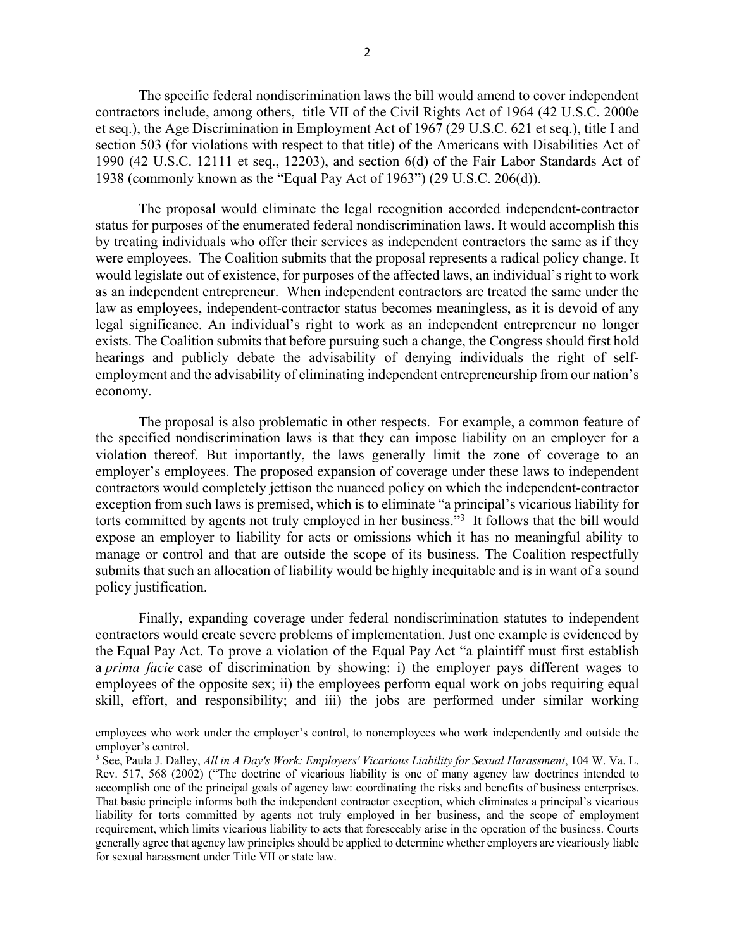The specific federal nondiscrimination laws the bill would amend to cover independent contractors include, among others, title VII of the Civil Rights Act of 1964 (42 U.S.C. 2000e et seq.), the Age Discrimination in Employment Act of 1967 (29 U.S.C. 621 et seq.), title I and section 503 (for violations with respect to that title) of the Americans with Disabilities Act of 1990 (42 U.S.C. 12111 et seq., 12203), and section 6(d) of the Fair Labor Standards Act of 1938 (commonly known as the "Equal Pay Act of 1963") (29 U.S.C. 206(d)).

The proposal would eliminate the legal recognition accorded independent-contractor status for purposes of the enumerated federal nondiscrimination laws. It would accomplish this by treating individuals who offer their services as independent contractors the same as if they were employees. The Coalition submits that the proposal represents a radical policy change. It would legislate out of existence, for purposes of the affected laws, an individual's right to work as an independent entrepreneur. When independent contractors are treated the same under the law as employees, independent-contractor status becomes meaningless, as it is devoid of any legal significance. An individual's right to work as an independent entrepreneur no longer exists. The Coalition submits that before pursuing such a change, the Congress should first hold hearings and publicly debate the advisability of denying individuals the right of selfemployment and the advisability of eliminating independent entrepreneurship from our nation's economy.

The proposal is also problematic in other respects. For example, a common feature of the specified nondiscrimination laws is that they can impose liability on an employer for a violation thereof. But importantly, the laws generally limit the zone of coverage to an employer's employees. The proposed expansion of coverage under these laws to independent contractors would completely jettison the nuanced policy on which the independent-contractor exception from such laws is premised, which is to eliminate "a principal's vicarious liability for torts committed by agents not truly employed in her business."<sup>3</sup> It follows that the bill would expose an employer to liability for acts or omissions which it has no meaningful ability to manage or control and that are outside the scope of its business. The Coalition respectfully submits that such an allocation of liability would be highly inequitable and is in want of a sound policy justification.

Finally, expanding coverage under federal nondiscrimination statutes to independent contractors would create severe problems of implementation. Just one example is evidenced by the Equal Pay Act. To prove a violation of the Equal Pay Act "a plaintiff must first establish a *prima facie* case of discrimination by showing: i) the employer pays different wages to employees of the opposite sex; ii) the employees perform equal work on jobs requiring equal skill, effort, and responsibility; and iii) the jobs are performed under similar working

employees who work under the employer's control, to nonemployees who work independently and outside the employer's control.<br><sup>3</sup> See, Paula J. Dalley, *All in A Day's Work: Employers' Vicarious Liability for Sexual Harassment*, 104 W. Va. L.

Rev. 517, 568 (2002) ("The doctrine of vicarious liability is one of many agency law doctrines intended to accomplish one of the principal goals of agency law: coordinating the risks and benefits of business enterprises. That basic principle informs both the independent contractor exception, which eliminates a principal's vicarious liability for torts committed by agents not truly employed in her business, and the scope of employment requirement, which limits vicarious liability to acts that foreseeably arise in the operation of the business. Courts generally agree that agency law principles should be applied to determine whether employers are vicariously liable for sexual harassment under Title VII or state law.